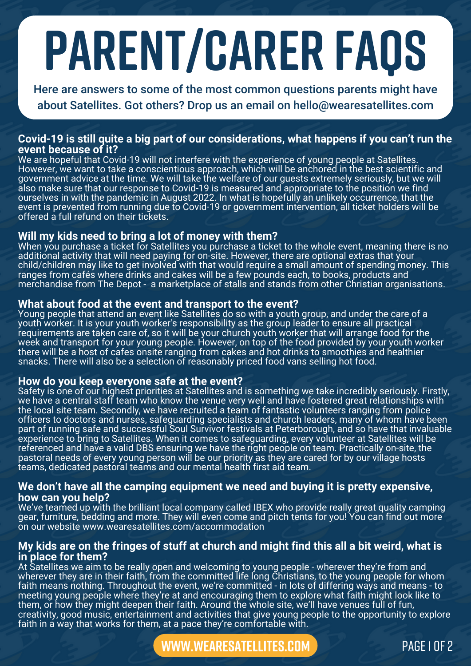# **parent/carer faqs**

Here are answers to some of the most common questions parents might have about Satellites. Got others? Drop us an email on hello@wearesatellites.com

# **Covid-19 is still quite a big part of our considerations, what happens if you can't run the event because of it?**

We are hopeful that Covid-19 will not interfere with the experience of young people at Satellites. However, we want to take a conscientious approach, which will be anchored in the best scientific and government advice at the time. We will take the welfare of our guests extremely seriously, but we will also make sure that our response to Covid-19 is measured and appropriate to the position we find ourselves in with the pandemic in August 2022. In what is hopefully an unlikely occurrence, that the event is prevented from running due to Covid-19 or government intervention, all ticket holders will be offered a full refund on their tickets.

# **Will my kids need to bring a lot of money with them?**

When you purchase a ticket for Satellites you purchase a ticket to the whole event, meaning there is no additional activity that will need paying for on-site. However, there are optional extras that your child/children may like to get involved with that would require a small amount of spending money. This ranges from cafés where drinks and cakes will be a few pounds each, to books, products and merchandise from The Depot - a marketplace of stalls and stands from other Christian organisations.

## **What about food at the event and transport to the event?**

Young people that attend an event like Satellites do so with a youth group, and under the care of a youth worker. It is your youth worker's responsibility as the group leader to ensure all practical requirements are taken care of, so it will be your church youth worker that will arrange food for the week and transport for your young people. However, on top of the food provided by your youth worker there will be a host of cafes onsite ranging from cakes and hot drinks to smoothies and healthier snacks. There will also be a selection of reasonably priced food vans selling hot food.

# **How do you keep everyone safe at the event?**

Safety is one of our highest priorities at Satellites and is something we take incredibly seriously. Firstly, we have a central staff team who know the venue very well and have fostered great relationships with the local site team. Secondly, we have recruited a team of fantastic volunteers ranging from police officers to doctors and nurses, safeguarding specialists and church leaders, many of whom have been part of running safe and successful Soul Survivor festivals at Peterborough, and so have that invaluable experience to bring to Satellites. When it comes to safeguarding, every volunteer at Satellites will be referenced and have a valid DBS ensuring we have the right people on team. Practically on-site, the pastoral needs of every young person will be our priority as they are cared for by our village hosts teams, dedicated pastoral teams and our mental health first aid team.

## **We don't have all the camping equipment we need and buying it is pretty expensive, how can you help?**

We've teamed up with the brilliant local company called IBEX who provide really great quality camping gear, furniture, bedding and more. They will even come and pitch tents for you! You can find out more on our website www.wearesatellites.com/accommodation

# My kids are on the fringes of stuff at church and might find this all a bit weird, what is **in place for them?**

At Satellites we aim to be really open and welcoming to young people - wherever they're from and wherever they are in their faith, from the committed life long Christians, to the young people for whom faith means nothing. Throughout the event, we're committed - in lots of differing ways and means - to meeting young people where they're at and encouraging them to explore what faith might look like to them, or how they might deepen their faith. Around the whole site, we'll have venues full of fun, creativity, good music, entertainment and activities that give young people to the opportunity to explore faith in a way that works for them, at a pace they're comfortable with.